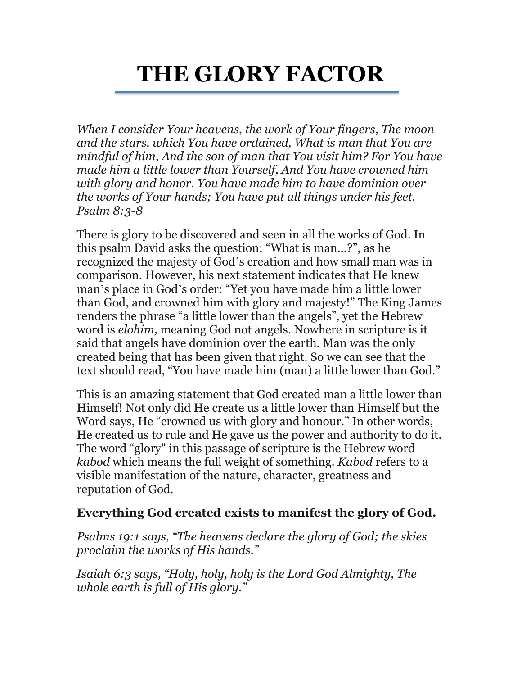## **THE GLORY FACTOR**

*When I consider Your heavens, the work of Your fingers, The moon and the stars, which You have ordained, What is man that You are mindful of him, And the son of man that You visit him? For You have made him a little lower than Yourself, And You have crowned him with glory and honor. You have made him to have dominion over the works of Your hands; You have put all things under his feet. Psalm 8:3-8* 

There is glory to be discovered and seen in all the works of God. In this psalm David asks the question: "What is man...?", as he recognized the majesty of God's creation and how small man was in comparison. However, his next statement indicates that He knew man's place in God's order: "Yet you have made him a little lower than God, and crowned him with glory and majesty!" The King James renders the phrase "a little lower than the angels", yet the Hebrew word is *elohim,* meaning God not angels. Nowhere in scripture is it said that angels have dominion over the earth. Man was the only created being that has been given that right. So we can see that the text should read, "You have made him (man) a little lower than God."

This is an amazing statement that God created man a little lower than Himself! Not only did He create us a little lower than Himself but the Word says, He "crowned us with glory and honour." In other words, He created us to rule and He gave us the power and authority to do it. The word "glory" in this passage of scripture is the Hebrew word *kabod* which means the full weight of something. *Kabod* refers to a visible manifestation of the nature, character, greatness and reputation of God.

## **Everything God created exists to manifest the glory of God.**

*Psalms 19:1 says, "The heavens declare the glory of God; the skies proclaim the works of His hands."* 

*Isaiah 6:3 says, "Holy, holy, holy is the Lord God Almighty, The whole earth is full of His glory."*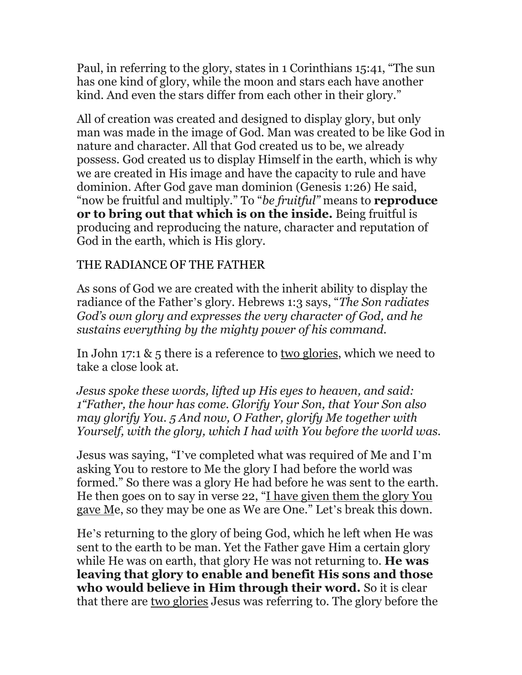Paul, in referring to the glory, states in 1 Corinthians 15:41, "The sun has one kind of glory, while the moon and stars each have another kind. And even the stars differ from each other in their glory."

All of creation was created and designed to display glory, but only man was made in the image of God. Man was created to be like God in nature and character. All that God created us to be, we already possess. God created us to display Himself in the earth, which is why we are created in His image and have the capacity to rule and have dominion. After God gave man dominion (Genesis 1:26) He said, "now be fruitful and multiply." To "*be fruitful"* means to **reproduce or to bring out that which is on the inside.** Being fruitful is producing and reproducing the nature, character and reputation of God in the earth, which is His glory.

## THE RADIANCE OF THE FATHER

As sons of God we are created with the inherit ability to display the radiance of the Father's glory. Hebrews 1:3 says, "*The Son radiates God's own glory and expresses the very character of God, and he sustains everything by the mighty power of his command.* 

In John 17:1 & 5 there is a reference to two glories, which we need to take a close look at.

*Jesus spoke these words, lifted up His eyes to heaven, and said: 1"Father, the hour has come. Glorify Your Son, that Your Son also may glorify You. 5 And now, O Father, glorify Me together with Yourself, with the glory, which I had with You before the world was*.

Jesus was saying, "I've completed what was required of Me and I'm asking You to restore to Me the glory I had before the world was formed." So there was a glory He had before he was sent to the earth. He then goes on to say in verse 22, "I have given them the glory You gave Me, so they may be one as We are One." Let's break this down.

He's returning to the glory of being God, which he left when He was sent to the earth to be man. Yet the Father gave Him a certain glory while He was on earth, that glory He was not returning to. **He was leaving that glory to enable and benefit His sons and those who would believe in Him through their word.** So it is clear that there are two glories Jesus was referring to. The glory before the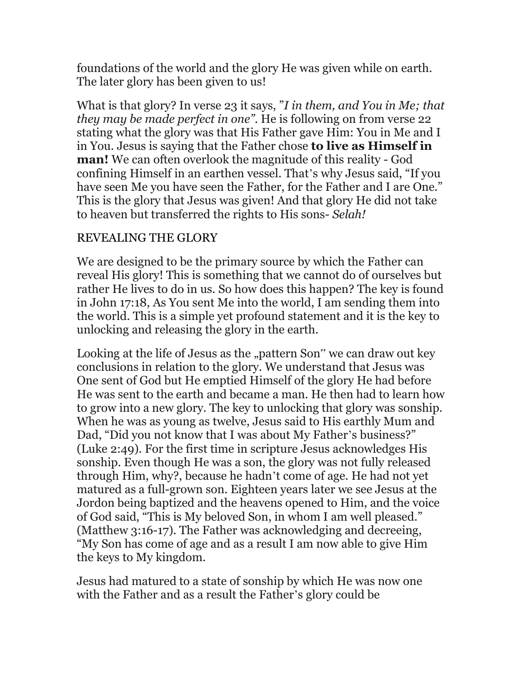foundations of the world and the glory He was given while on earth. The later glory has been given to us!

What is that glory? In verse 23 it says, "*I in them, and You in Me; that they may be made perfect in one"*. He is following on from verse 22 stating what the glory was that His Father gave Him: You in Me and I in You. Jesus is saying that the Father chose **to live as Himself in man!** We can often overlook the magnitude of this reality - God confining Himself in an earthen vessel. That's why Jesus said, "If you have seen Me you have seen the Father, for the Father and I are One." This is the glory that Jesus was given! And that glory He did not take to heaven but transferred the rights to His sons- *Selah!*

## REVEALING THE GLORY

We are designed to be the primary source by which the Father can reveal His glory! This is something that we cannot do of ourselves but rather He lives to do in us. So how does this happen? The key is found in John 17:18, As You sent Me into the world, I am sending them into the world. This is a simple yet profound statement and it is the key to unlocking and releasing the glory in the earth.

Looking at the life of Jesus as the "pattern Son" we can draw out key conclusions in relation to the glory. We understand that Jesus was One sent of God but He emptied Himself of the glory He had before He was sent to the earth and became a man. He then had to learn how to grow into a new glory. The key to unlocking that glory was sonship. When he was as young as twelve, Jesus said to His earthly Mum and Dad, "Did you not know that I was about My Father's business?" (Luke 2:49). For the first time in scripture Jesus acknowledges His sonship. Even though He was a son, the glory was not fully released through Him, why?, because he hadn't come of age. He had not yet matured as a full-grown son. Eighteen years later we see Jesus at the Jordon being baptized and the heavens opened to Him, and the voice of God said, "This is My beloved Son, in whom I am well pleased." (Matthew 3:16-17). The Father was acknowledging and decreeing, "My Son has come of age and as a result I am now able to give Him the keys to My kingdom.

Jesus had matured to a state of sonship by which He was now one with the Father and as a result the Father's glory could be